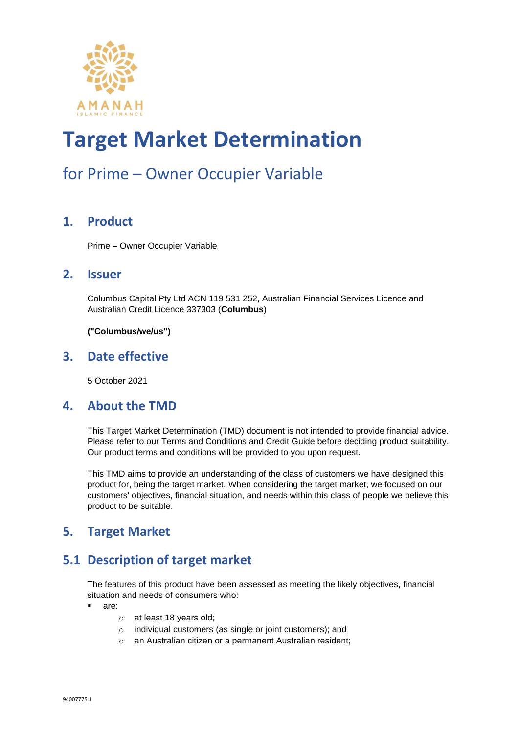

### for Prime – Owner Occupier Variable

#### **1. Product**

Prime – Owner Occupier Variable

#### **2. Issuer**

Columbus Capital Pty Ltd ACN 119 531 252, Australian Financial Services Licence and Australian Credit Licence 337303 (**Columbus**)

**("Columbus/we/us")**

#### **3. Date effective**

5 October 2021

#### **4. About the TMD**

This Target Market Determination (TMD) document is not intended to provide financial advice. Please refer to our Terms and Conditions and Credit Guide before deciding product suitability. Our product terms and conditions will be provided to you upon request.

This TMD aims to provide an understanding of the class of customers we have designed this product for, being the target market. When considering the target market, we focused on our customers' objectives, financial situation, and needs within this class of people we believe this product to be suitable.

#### **5. Target Market**

#### **5.1 Description of target market**

The features of this product have been assessed as meeting the likely objectives, financial situation and needs of consumers who:

- are:
	- o at least 18 years old;
	- o individual customers (as single or joint customers); and
	- o an Australian citizen or a permanent Australian resident;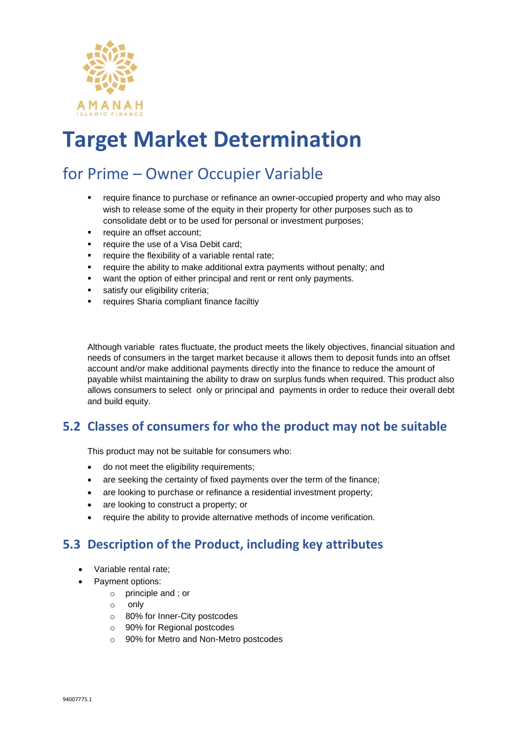

### for Prime – Owner Occupier Variable

- require finance to purchase or refinance an owner-occupied property and who may also wish to release some of the equity in their property for other purposes such as to consolidate debt or to be used for personal or investment purposes;
- require an offset account;
- require the use of a Visa Debit card;
- require the flexibility of a variable rental rate;
- require the ability to make additional extra payments without penalty; and
- want the option of either principal and rent or rent only payments.
- satisfy our eligibility criteria;
- requires Sharia compliant finance faciltiv

Although variable rates fluctuate, the product meets the likely objectives, financial situation and needs of consumers in the target market because it allows them to deposit funds into an offset account and/or make additional payments directly into the finance to reduce the amount of payable whilst maintaining the ability to draw on surplus funds when required. This product also allows consumers to select only or principal and payments in order to reduce their overall debt and build equity.

#### **5.2 Classes of consumers for who the product may not be suitable**

This product may not be suitable for consumers who:

- do not meet the eligibility requirements;
- are seeking the certainty of fixed payments over the term of the finance;
- are looking to purchase or refinance a residential investment property;
- are looking to construct a property; or
- require the ability to provide alternative methods of income verification.

#### **5.3 Description of the Product, including key attributes**

- Variable rental rate;
- Payment options:
	- o principle and ; or
	- o only
	- o 80% for Inner-City postcodes
	- o 90% for Regional postcodes
	- o 90% for Metro and Non-Metro postcodes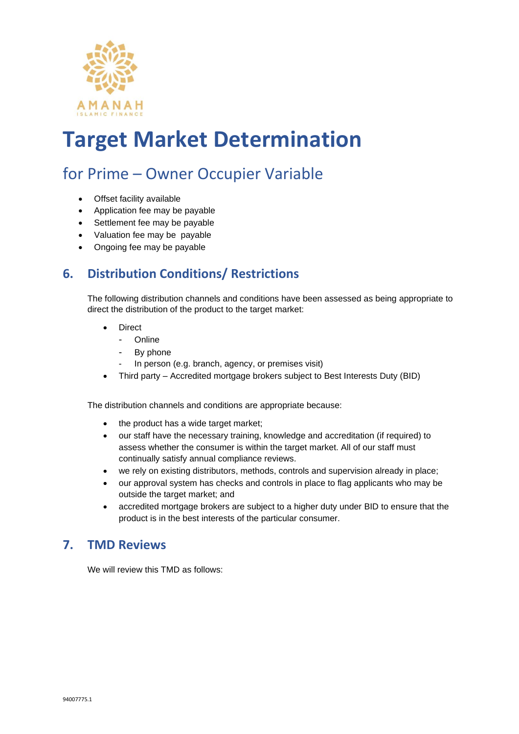

### for Prime – Owner Occupier Variable

- Offset facility available
- Application fee may be payable
- Settlement fee may be payable
- Valuation fee may be payable
- Ongoing fee may be payable

#### **6. Distribution Conditions/ Restrictions**

The following distribution channels and conditions have been assessed as being appropriate to direct the distribution of the product to the target market:

- **Direct** 
	- Online
	- By phone
	- In person (e.g. branch, agency, or premises visit)
- Third party Accredited mortgage brokers subject to Best Interests Duty (BID)

The distribution channels and conditions are appropriate because:

- the product has a wide target market;
- our staff have the necessary training, knowledge and accreditation (if required) to assess whether the consumer is within the target market. All of our staff must continually satisfy annual compliance reviews.
- we rely on existing distributors, methods, controls and supervision already in place;
- our approval system has checks and controls in place to flag applicants who may be outside the target market; and
- accredited mortgage brokers are subject to a higher duty under BID to ensure that the product is in the best interests of the particular consumer.

#### **7. TMD Reviews**

We will review this TMD as follows: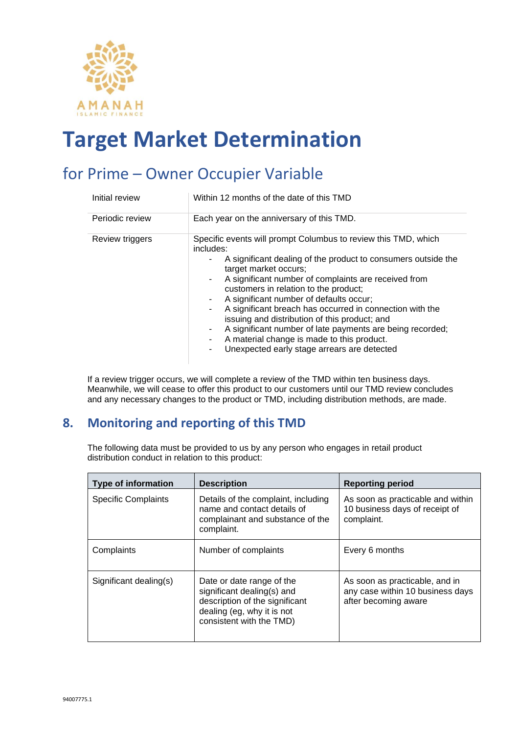

### for Prime – Owner Occupier Variable

| Initial review  | Within 12 months of the date of this TMD                                                                                                                                                                                                                                                                                                                                                                                                                                                                                                                                                           |
|-----------------|----------------------------------------------------------------------------------------------------------------------------------------------------------------------------------------------------------------------------------------------------------------------------------------------------------------------------------------------------------------------------------------------------------------------------------------------------------------------------------------------------------------------------------------------------------------------------------------------------|
| Periodic review | Each year on the anniversary of this TMD.                                                                                                                                                                                                                                                                                                                                                                                                                                                                                                                                                          |
| Review triggers | Specific events will prompt Columbus to review this TMD, which<br>includes:<br>A significant dealing of the product to consumers outside the<br>target market occurs;<br>A significant number of complaints are received from<br>٠<br>customers in relation to the product;<br>A significant number of defaults occur;<br>A significant breach has occurred in connection with the<br>۰<br>issuing and distribution of this product; and<br>A significant number of late payments are being recorded;<br>A material change is made to this product.<br>Unexpected early stage arrears are detected |

If a review trigger occurs, we will complete a review of the TMD within ten business days. Meanwhile, we will cease to offer this product to our customers until our TMD review concludes and any necessary changes to the product or TMD, including distribution methods, are made.

#### **8. Monitoring and reporting of this TMD**

The following data must be provided to us by any person who engages in retail product distribution conduct in relation to this product:

| <b>Type of information</b> | <b>Description</b>                                                                                                                                  | <b>Reporting period</b>                                                                    |
|----------------------------|-----------------------------------------------------------------------------------------------------------------------------------------------------|--------------------------------------------------------------------------------------------|
| <b>Specific Complaints</b> | Details of the complaint, including<br>name and contact details of<br>complainant and substance of the<br>complaint.                                | As soon as practicable and within<br>10 business days of receipt of<br>complaint.          |
| Complaints                 | Number of complaints                                                                                                                                | Every 6 months                                                                             |
| Significant dealing(s)     | Date or date range of the<br>significant dealing(s) and<br>description of the significant<br>dealing (eg, why it is not<br>consistent with the TMD) | As soon as practicable, and in<br>any case within 10 business days<br>after becoming aware |